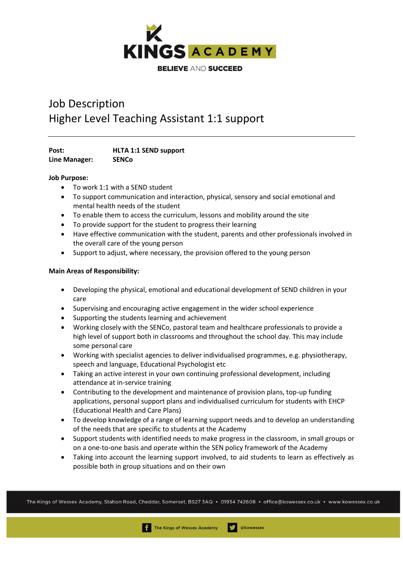

# Job Description Higher Level Teaching Assistant 1:1 support

**Post: HLTA 1:1 SEND support Line Manager: SENCo**

## **Job Purpose:**

- To work 1:1 with a SEND student
- To support communication and interaction, physical, sensory and social emotional and mental health needs of the student
- To enable them to access the curriculum, lessons and mobility around the site
- To provide support for the student to progress their learning
- Have effective communication with the student, parents and other professionals involved in the overall care of the young person
- Support to adjust, where necessary, the provision offered to the young person

## **Main Areas of Responsibility:**

- Developing the physical, emotional and educational development of SEND children in your care
- Supervising and encouraging active engagement in the wider school experience
- Supporting the students learning and achievement
- Working closely with the SENCo, pastoral team and healthcare professionals to provide a high level of support both in classrooms and throughout the school day. This may include some personal care
- Working with specialist agencies to deliver individualised programmes, e.g. physiotherapy, speech and language, Educational Psychologist etc
- Taking an active interest in your own continuing professional development, including attendance at in-service training
- Contributing to the development and maintenance of provision plans, top-up funding applications, personal support plans and individualised curriculum for students with EHCP (Educational Health and Care Plans)
- To develop knowledge of a range of learning support needs and to develop an understanding of the needs that are specific to students at the Academy
- Support students with identified needs to make progress in the classroom, in small groups or on a one-to-one basis and operate within the SEN policy framework of the Academy
- Taking into account the learning support involved, to aid students to learn as effectively as possible both in group situations and on their own

The Kings of Wessex Academy, Station Road, Cheddar, Somerset, BS27 3AQ • 01934 742608 • office@kowessex.co.uk • www.kowessex.co.uk

akowessex

The Kings of Wessex Academy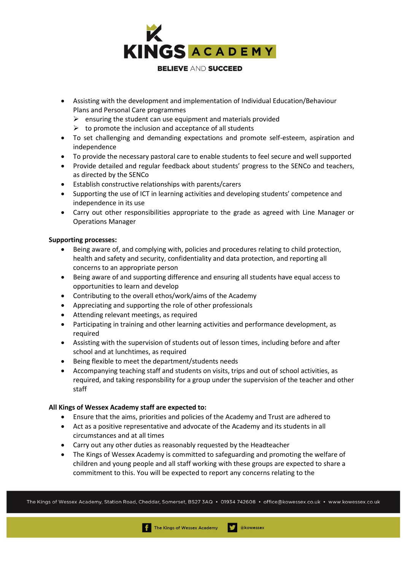

- Assisting with the development and implementation of Individual Education/Behaviour Plans and Personal Care programmes
	- $\triangleright$  ensuring the student can use equipment and materials provided
	- $\triangleright$  to promote the inclusion and acceptance of all students
- To set challenging and demanding expectations and promote self-esteem, aspiration and independence
- To provide the necessary pastoral care to enable students to feel secure and well supported
- Provide detailed and regular feedback about students' progress to the SENCo and teachers, as directed by the SENCo
- Establish constructive relationships with parents/carers
- Supporting the use of ICT in learning activities and developing students' competence and independence in its use
- Carry out other responsibilities appropriate to the grade as agreed with Line Manager or Operations Manager

## **Supporting processes:**

- Being aware of, and complying with, policies and procedures relating to child protection, health and safety and security, confidentiality and data protection, and reporting all concerns to an appropriate person
- Being aware of and supporting difference and ensuring all students have equal access to opportunities to learn and develop
- Contributing to the overall ethos/work/aims of the Academy
- Appreciating and supporting the role of other professionals
- Attending relevant meetings, as required
- Participating in training and other learning activities and performance development, as required
- Assisting with the supervision of students out of lesson times, including before and after school and at lunchtimes, as required
- Being flexible to meet the department/students needs
- Accompanying teaching staff and students on visits, trips and out of school activities, as required, and taking responsbility for a group under the supervision of the teacher and other staff

## **All Kings of Wessex Academy staff are expected to:**

- Ensure that the aims, priorities and policies of the Academy and Trust are adhered to
- Act as a positive representative and advocate of the Academy and its students in all circumstances and at all times
- Carry out any other duties as reasonably requested by the Headteacher
- The Kings of Wessex Academy is committed to safeguarding and promoting the welfare of children and young people and all staff working with these groups are expected to share a commitment to this. You will be expected to report any concerns relating to the

The Kings of Wessex Academy, Station Road, Cheddar, Somerset, BS27 3AQ • 01934 742608 • office@kowessex.co.uk • www.kowessex.co.uk

akowessex